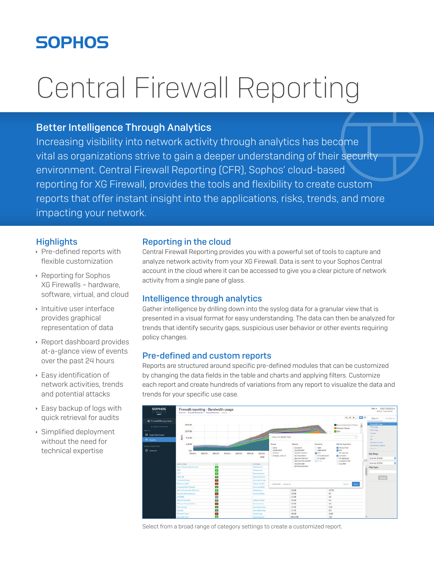# **SOPHOS**

# Central Firewall Reporting

# Better Intelligence Through Analytics

Increasing visibility into network activity through analytics has become vital as organizations strive to gain a deeper understanding of their security environment. Central Firewall Reporting (CFR), Sophos' cloud-based reporting for XG Firewall, provides the tools and flexibility to create custom reports that offer instant insight into the applications, risks, trends, and more impacting your network.

## **Highlights**

- $\rightarrow$  Pre-defined reports with flexible customization
- **EXECUTE: Reporting for Sophos** XG Firewalls – hardware, software, virtual, and cloud
- $\cdot$  Intuitive user interface provides graphical representation of data
- **Report dashboard provides** at-a-glance view of events over the past 24 hours
- **Easy identification of** network activities, trends and potential attacks
- $\cdot$  Easy backup of logs with quick retrieval for audits
- $\cdot$  Simplified deployment without the need for technical expertise

# Reporting in the cloud

Central Firewall Reporting provides you with a powerful set of tools to capture and analyze network activity from your XG Firewall. Data is sent to your Sophos Central account in the cloud where it can be accessed to give you a clear picture of network activity from a single pane of glass.

# Intelligence through analytics

Gather intelligence by drilling down into the syslog data for a granular view that is presented in a visual format for easy understanding. The data can then be analyzed for trends that identify security gaps, suspicious user behavior or other events requiring policy changes.

# Pre-defined and custom reports

Reports are structured around specific pre-defined modules that can be customized by changing the data fields in the table and charts and applying filters. Customize each report and create hundreds of variations from any report to visualize the data and trends for your specific use case.



Select from a broad range of category settings to create a customized report.